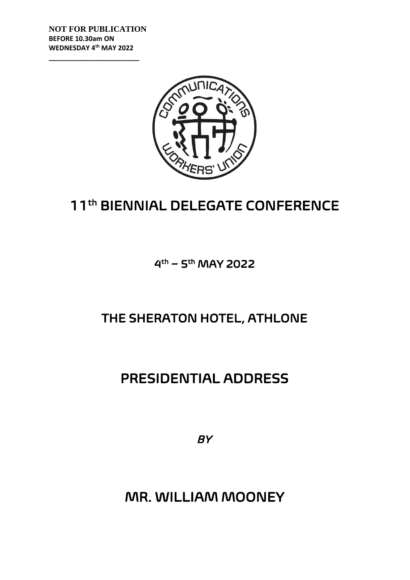**NOT FOR PUBLICATION BEFORE 10.30am ON WEDNESDAY 4 th MAY 2022**

**\_\_\_\_\_\_\_\_\_\_\_\_\_\_\_\_\_\_\_\_\_\_\_\_**



## 11th BIENNIAL DELEGATE CONFERENCE

4<sup>th</sup> – 5<sup>th</sup> MAY 2022

## THE SHERATON HOTEL, ATHLONE

## PRESIDENTIAL ADDRESS

*BY* 

MR. WILLIAM MOONEY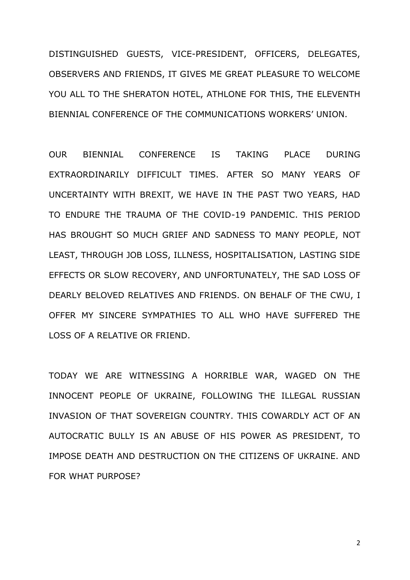DISTINGUISHED GUESTS, VICE-PRESIDENT, OFFICERS, DELEGATES, OBSERVERS AND FRIENDS, IT GIVES ME GREAT PLEASURE TO WELCOME YOU ALL TO THE SHERATON HOTEL, ATHLONE FOR THIS, THE ELEVENTH BIENNIAL CONFERENCE OF THE COMMUNICATIONS WORKERS' UNION.

OUR BIENNIAL CONFERENCE IS TAKING PLACE DURING EXTRAORDINARILY DIFFICULT TIMES. AFTER SO MANY YEARS OF UNCERTAINTY WITH BREXIT, WE HAVE IN THE PAST TWO YEARS, HAD TO ENDURE THE TRAUMA OF THE COVID-19 PANDEMIC. THIS PERIOD HAS BROUGHT SO MUCH GRIEF AND SADNESS TO MANY PEOPLE, NOT LEAST, THROUGH JOB LOSS, ILLNESS, HOSPITALISATION, LASTING SIDE EFFECTS OR SLOW RECOVERY, AND UNFORTUNATELY, THE SAD LOSS OF DEARLY BELOVED RELATIVES AND FRIENDS. ON BEHALF OF THE CWU, I OFFER MY SINCERE SYMPATHIES TO ALL WHO HAVE SUFFERED THE LOSS OF A RELATIVE OR FRIEND.

TODAY WE ARE WITNESSING A HORRIBLE WAR, WAGED ON THE INNOCENT PEOPLE OF UKRAINE, FOLLOWING THE ILLEGAL RUSSIAN INVASION OF THAT SOVEREIGN COUNTRY. THIS COWARDLY ACT OF AN AUTOCRATIC BULLY IS AN ABUSE OF HIS POWER AS PRESIDENT, TO IMPOSE DEATH AND DESTRUCTION ON THE CITIZENS OF UKRAINE. AND FOR WHAT PURPOSE?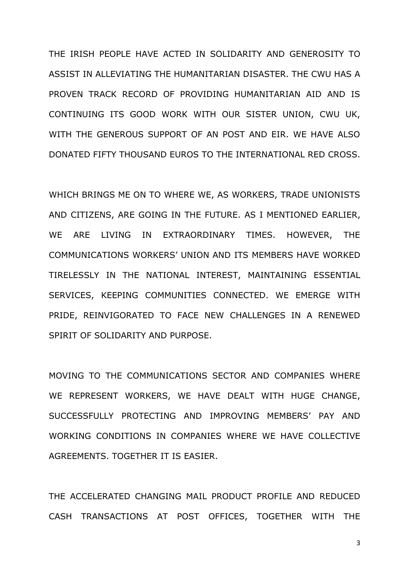THE IRISH PEOPLE HAVE ACTED IN SOLIDARITY AND GENEROSITY TO ASSIST IN ALLEVIATING THE HUMANITARIAN DISASTER. THE CWU HAS A PROVEN TRACK RECORD OF PROVIDING HUMANITARIAN AID AND IS CONTINUING ITS GOOD WORK WITH OUR SISTER UNION, CWU UK, WITH THE GENEROUS SUPPORT OF AN POST AND EIR. WE HAVE ALSO DONATED FIFTY THOUSAND EUROS TO THE INTERNATIONAL RED CROSS.

WHICH BRINGS ME ON TO WHERE WE, AS WORKERS, TRADE UNIONISTS AND CITIZENS, ARE GOING IN THE FUTURE. AS I MENTIONED EARLIER, WE ARE LIVING IN EXTRAORDINARY TIMES. HOWEVER, THE COMMUNICATIONS WORKERS' UNION AND ITS MEMBERS HAVE WORKED TIRELESSLY IN THE NATIONAL INTEREST, MAINTAINING ESSENTIAL SERVICES, KEEPING COMMUNITIES CONNECTED. WE EMERGE WITH PRIDE, REINVIGORATED TO FACE NEW CHALLENGES IN A RENEWED SPIRIT OF SOLIDARITY AND PURPOSE.

MOVING TO THE COMMUNICATIONS SECTOR AND COMPANIES WHERE WE REPRESENT WORKERS, WE HAVE DEALT WITH HUGE CHANGE, SUCCESSFULLY PROTECTING AND IMPROVING MEMBERS' PAY AND WORKING CONDITIONS IN COMPANIES WHERE WE HAVE COLLECTIVE AGREEMENTS. TOGETHER IT IS EASIER.

THE ACCELERATED CHANGING MAIL PRODUCT PROFILE AND REDUCED CASH TRANSACTIONS AT POST OFFICES, TOGETHER WITH THE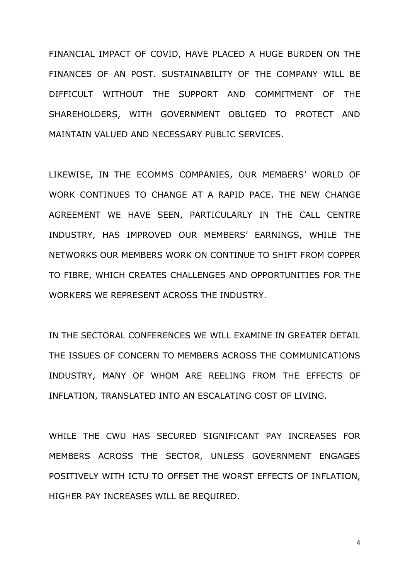FINANCIAL IMPACT OF COVID, HAVE PLACED A HUGE BURDEN ON THE FINANCES OF AN POST. SUSTAINABILITY OF THE COMPANY WILL BE DIFFICULT WITHOUT THE SUPPORT AND COMMITMENT OF THE SHAREHOLDERS, WITH GOVERNMENT OBLIGED TO PROTECT AND MAINTAIN VALUED AND NECESSARY PUBLIC SERVICES.

LIKEWISE, IN THE ECOMMS COMPANIES, OUR MEMBERS' WORLD OF WORK CONTINUES TO CHANGE AT A RAPID PACE. THE NEW CHANGE AGREEMENT WE HAVE SEEN, PARTICULARLY IN THE CALL CENTRE INDUSTRY, HAS IMPROVED OUR MEMBERS' EARNINGS, WHILE THE NETWORKS OUR MEMBERS WORK ON CONTINUE TO SHIFT FROM COPPER TO FIBRE, WHICH CREATES CHALLENGES AND OPPORTUNITIES FOR THE WORKERS WE REPRESENT ACROSS THE INDUSTRY.

IN THE SECTORAL CONFERENCES WE WILL EXAMINE IN GREATER DETAIL THE ISSUES OF CONCERN TO MEMBERS ACROSS THE COMMUNICATIONS INDUSTRY, MANY OF WHOM ARE REELING FROM THE EFFECTS OF INFLATION, TRANSLATED INTO AN ESCALATING COST OF LIVING.

WHILE THE CWU HAS SECURED SIGNIFICANT PAY INCREASES FOR MEMBERS ACROSS THE SECTOR, UNLESS GOVERNMENT ENGAGES POSITIVELY WITH ICTU TO OFFSET THE WORST EFFECTS OF INFLATION, HIGHER PAY INCREASES WILL BE REQUIRED.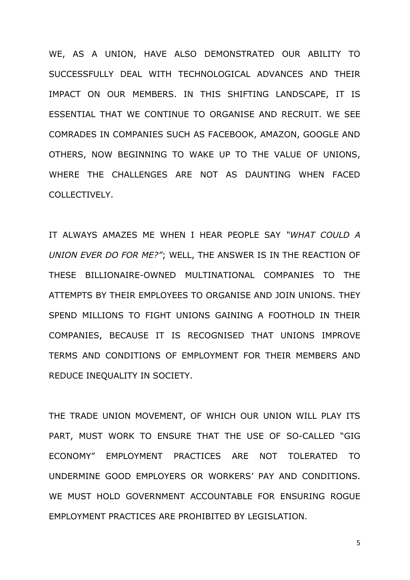WE, AS A UNION, HAVE ALSO DEMONSTRATED OUR ABILITY TO SUCCESSFULLY DEAL WITH TECHNOLOGICAL ADVANCES AND THEIR IMPACT ON OUR MEMBERS. IN THIS SHIFTING LANDSCAPE, IT IS ESSENTIAL THAT WE CONTINUE TO ORGANISE AND RECRUIT. WE SEE COMRADES IN COMPANIES SUCH AS FACEBOOK, AMAZON, GOOGLE AND OTHERS, NOW BEGINNING TO WAKE UP TO THE VALUE OF UNIONS, WHERE THE CHALLENGES ARE NOT AS DAUNTING WHEN FACED COLLECTIVELY.

IT ALWAYS AMAZES ME WHEN I HEAR PEOPLE SAY *"WHAT COULD A UNION EVER DO FOR ME?"*; WELL, THE ANSWER IS IN THE REACTION OF THESE BILLIONAIRE-OWNED MULTINATIONAL COMPANIES TO THE ATTEMPTS BY THEIR EMPLOYEES TO ORGANISE AND JOIN UNIONS. THEY SPEND MILLIONS TO FIGHT UNIONS GAINING A FOOTHOLD IN THEIR COMPANIES, BECAUSE IT IS RECOGNISED THAT UNIONS IMPROVE TERMS AND CONDITIONS OF EMPLOYMENT FOR THEIR MEMBERS AND REDUCE INEQUALITY IN SOCIETY.

THE TRADE UNION MOVEMENT, OF WHICH OUR UNION WILL PLAY ITS PART, MUST WORK TO ENSURE THAT THE USE OF SO-CALLED "GIG ECONOMY" EMPLOYMENT PRACTICES ARE NOT TOLERATED TO UNDERMINE GOOD EMPLOYERS OR WORKERS' PAY AND CONDITIONS. WE MUST HOLD GOVERNMENT ACCOUNTABLE FOR ENSURING ROGUE EMPLOYMENT PRACTICES ARE PROHIBITED BY LEGISLATION.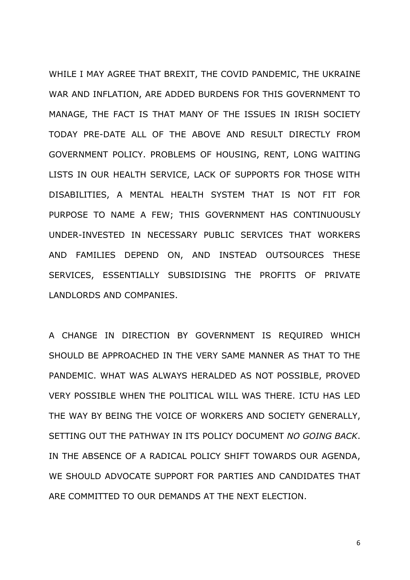WHILE I MAY AGREE THAT BREXIT, THE COVID PANDEMIC, THE UKRAINE WAR AND INFLATION, ARE ADDED BURDENS FOR THIS GOVERNMENT TO MANAGE, THE FACT IS THAT MANY OF THE ISSUES IN IRISH SOCIETY TODAY PRE-DATE ALL OF THE ABOVE AND RESULT DIRECTLY FROM GOVERNMENT POLICY. PROBLEMS OF HOUSING, RENT, LONG WAITING LISTS IN OUR HEALTH SERVICE, LACK OF SUPPORTS FOR THOSE WITH DISABILITIES, A MENTAL HEALTH SYSTEM THAT IS NOT FIT FOR PURPOSE TO NAME A FEW; THIS GOVERNMENT HAS CONTINUOUSLY UNDER-INVESTED IN NECESSARY PUBLIC SERVICES THAT WORKERS AND FAMILIES DEPEND ON, AND INSTEAD OUTSOURCES THESE SERVICES, ESSENTIALLY SUBSIDISING THE PROFITS OF PRIVATE LANDLORDS AND COMPANIES.

A CHANGE IN DIRECTION BY GOVERNMENT IS REQUIRED WHICH SHOULD BE APPROACHED IN THE VERY SAME MANNER AS THAT TO THE PANDEMIC. WHAT WAS ALWAYS HERALDED AS NOT POSSIBLE, PROVED VERY POSSIBLE WHEN THE POLITICAL WILL WAS THERE. ICTU HAS LED THE WAY BY BEING THE VOICE OF WORKERS AND SOCIETY GENERALLY, SETTING OUT THE PATHWAY IN ITS POLICY DOCUMENT *NO GOING BACK*. IN THE ABSENCE OF A RADICAL POLICY SHIFT TOWARDS OUR AGENDA, WE SHOULD ADVOCATE SUPPORT FOR PARTIES AND CANDIDATES THAT ARE COMMITTED TO OUR DEMANDS AT THE NEXT ELECTION.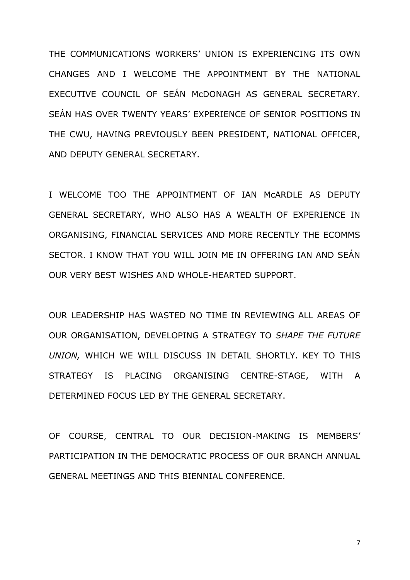THE COMMUNICATIONS WORKERS' UNION IS EXPERIENCING ITS OWN CHANGES AND I WELCOME THE APPOINTMENT BY THE NATIONAL EXECUTIVE COUNCIL OF SEÁN McDONAGH AS GENERAL SECRETARY. SEÁN HAS OVER TWENTY YEARS' EXPERIENCE OF SENIOR POSITIONS IN THE CWU, HAVING PREVIOUSLY BEEN PRESIDENT, NATIONAL OFFICER, AND DEPUTY GENERAL SECRETARY.

I WELCOME TOO THE APPOINTMENT OF IAN McARDLE AS DEPUTY GENERAL SECRETARY, WHO ALSO HAS A WEALTH OF EXPERIENCE IN ORGANISING, FINANCIAL SERVICES AND MORE RECENTLY THE ECOMMS SECTOR. I KNOW THAT YOU WILL JOIN ME IN OFFERING IAN AND SEÁN OUR VERY BEST WISHES AND WHOLE-HEARTED SUPPORT.

OUR LEADERSHIP HAS WASTED NO TIME IN REVIEWING ALL AREAS OF OUR ORGANISATION, DEVELOPING A STRATEGY TO *SHAPE THE FUTURE UNION,* WHICH WE WILL DISCUSS IN DETAIL SHORTLY. KEY TO THIS STRATEGY IS PLACING ORGANISING CENTRE-STAGE, WITH A DETERMINED FOCUS LED BY THE GENERAL SECRETARY.

OF COURSE, CENTRAL TO OUR DECISION-MAKING IS MEMBERS' PARTICIPATION IN THE DEMOCRATIC PROCESS OF OUR BRANCH ANNUAL GENERAL MEETINGS AND THIS BIENNIAL CONFERENCE.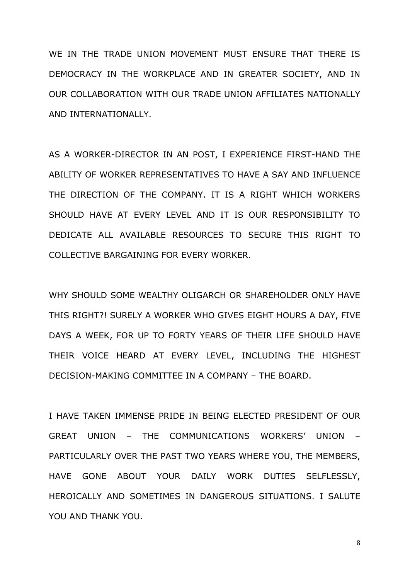WE IN THE TRADE UNION MOVEMENT MUST ENSURE THAT THERE IS DEMOCRACY IN THE WORKPLACE AND IN GREATER SOCIETY, AND IN OUR COLLABORATION WITH OUR TRADE UNION AFFILIATES NATIONALLY AND INTERNATIONALLY.

AS A WORKER-DIRECTOR IN AN POST, I EXPERIENCE FIRST-HAND THE ABILITY OF WORKER REPRESENTATIVES TO HAVE A SAY AND INFLUENCE THE DIRECTION OF THE COMPANY. IT IS A RIGHT WHICH WORKERS SHOULD HAVE AT EVERY LEVEL AND IT IS OUR RESPONSIBILITY TO DEDICATE ALL AVAILABLE RESOURCES TO SECURE THIS RIGHT TO COLLECTIVE BARGAINING FOR EVERY WORKER.

WHY SHOULD SOME WEALTHY OLIGARCH OR SHAREHOLDER ONLY HAVE THIS RIGHT?! SURELY A WORKER WHO GIVES EIGHT HOURS A DAY, FIVE DAYS A WEEK, FOR UP TO FORTY YEARS OF THEIR LIFE SHOULD HAVE THEIR VOICE HEARD AT EVERY LEVEL, INCLUDING THE HIGHEST DECISION-MAKING COMMITTEE IN A COMPANY – THE BOARD.

I HAVE TAKEN IMMENSE PRIDE IN BEING ELECTED PRESIDENT OF OUR GREAT UNION – THE COMMUNICATIONS WORKERS' UNION – PARTICULARLY OVER THE PAST TWO YEARS WHERE YOU, THE MEMBERS, HAVE GONE ABOUT YOUR DAILY WORK DUTIES SELFLESSLY, HEROICALLY AND SOMETIMES IN DANGEROUS SITUATIONS. I SALUTE YOU AND THANK YOU.